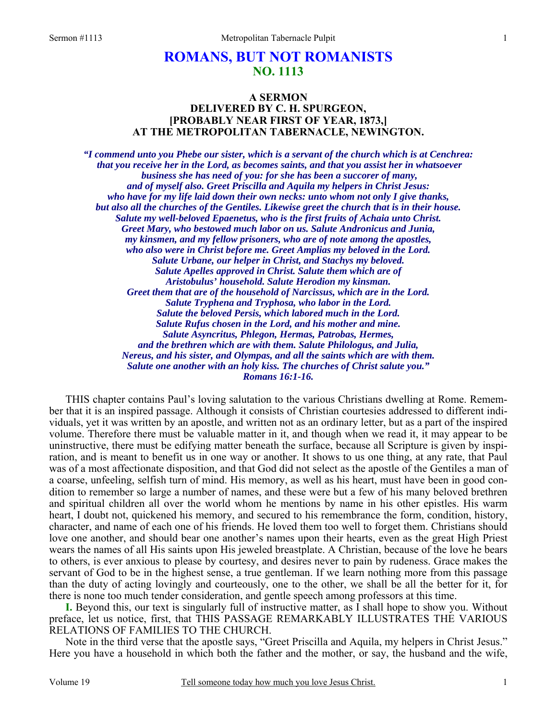## **ROMANS, BUT NOT ROMANISTS NO. 1113**

## **A SERMON DELIVERED BY C. H. SPURGEON, [PROBABLY NEAR FIRST OF YEAR, 1873,] AT THE METROPOLITAN TABERNACLE, NEWINGTON.**

*"I commend unto you Phebe our sister, which is a servant of the church which is at Cenchrea: that you receive her in the Lord, as becomes saints, and that you assist her in whatsoever business she has need of you: for she has been a succorer of many, and of myself also. Greet Priscilla and Aquila my helpers in Christ Jesus: who have for my life laid down their own necks: unto whom not only I give thanks, but also all the churches of the Gentiles. Likewise greet the church that is in their house. Salute my well-beloved Epaenetus, who is the first fruits of Achaia unto Christ. Greet Mary, who bestowed much labor on us. Salute Andronicus and Junia, my kinsmen, and my fellow prisoners, who are of note among the apostles, who also were in Christ before me. Greet Amplias my beloved in the Lord. Salute Urbane, our helper in Christ, and Stachys my beloved. Salute Apelles approved in Christ. Salute them which are of Aristobulus' household. Salute Herodion my kinsman. Greet them that are of the household of Narcissus, which are in the Lord. Salute Tryphena and Tryphosa, who labor in the Lord. Salute the beloved Persis, which labored much in the Lord. Salute Rufus chosen in the Lord, and his mother and mine. Salute Asyncritus, Phlegon, Hermas, Patrobas, Hermes, and the brethren which are with them. Salute Philologus, and Julia, Nereus, and his sister, and Olympas, and all the saints which are with them. Salute one another with an holy kiss. The churches of Christ salute you." Romans 16:1-16.* 

THIS chapter contains Paul's loving salutation to the various Christians dwelling at Rome. Remember that it is an inspired passage. Although it consists of Christian courtesies addressed to different individuals, yet it was written by an apostle, and written not as an ordinary letter, but as a part of the inspired volume. Therefore there must be valuable matter in it, and though when we read it, it may appear to be uninstructive, there must be edifying matter beneath the surface, because all Scripture is given by inspiration, and is meant to benefit us in one way or another. It shows to us one thing, at any rate, that Paul was of a most affectionate disposition, and that God did not select as the apostle of the Gentiles a man of a coarse, unfeeling, selfish turn of mind. His memory, as well as his heart, must have been in good condition to remember so large a number of names, and these were but a few of his many beloved brethren and spiritual children all over the world whom he mentions by name in his other epistles. His warm heart, I doubt not, quickened his memory, and secured to his remembrance the form, condition, history, character, and name of each one of his friends. He loved them too well to forget them. Christians should love one another, and should bear one another's names upon their hearts, even as the great High Priest wears the names of all His saints upon His jeweled breastplate. A Christian, because of the love he bears to others, is ever anxious to please by courtesy, and desires never to pain by rudeness. Grace makes the servant of God to be in the highest sense, a true gentleman. If we learn nothing more from this passage than the duty of acting lovingly and courteously, one to the other, we shall be all the better for it, for there is none too much tender consideration, and gentle speech among professors at this time.

**I.** Beyond this, our text is singularly full of instructive matter, as I shall hope to show you. Without preface, let us notice, first, that THIS PASSAGE REMARKABLY ILLUSTRATES THE VARIOUS RELATIONS OF FAMILIES TO THE CHURCH.

Note in the third verse that the apostle says, "Greet Priscilla and Aquila, my helpers in Christ Jesus." Here you have a household in which both the father and the mother, or say, the husband and the wife,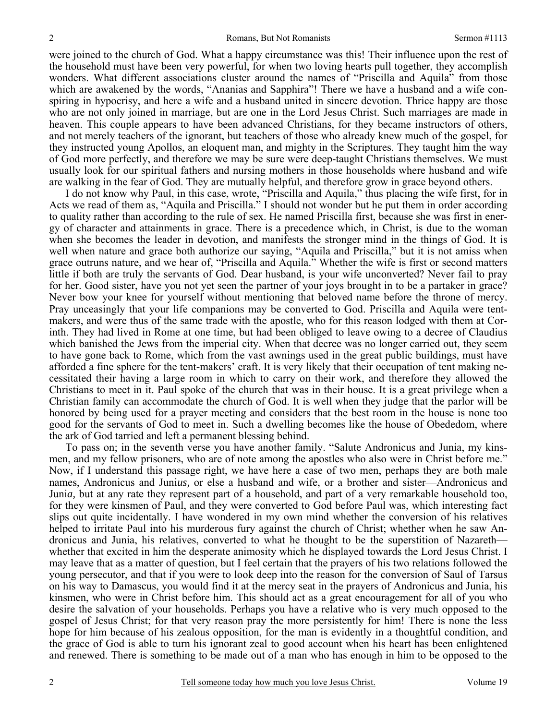were joined to the church of God. What a happy circumstance was this! Their influence upon the rest of the household must have been very powerful, for when two loving hearts pull together, they accomplish wonders. What different associations cluster around the names of "Priscilla and Aquila" from those which are awakened by the words, "Ananias and Sapphira"! There we have a husband and a wife conspiring in hypocrisy, and here a wife and a husband united in sincere devotion. Thrice happy are those who are not only joined in marriage, but are one in the Lord Jesus Christ. Such marriages are made in heaven. This couple appears to have been advanced Christians, for they became instructors of others, and not merely teachers of the ignorant, but teachers of those who already knew much of the gospel, for they instructed young Apollos, an eloquent man, and mighty in the Scriptures. They taught him the way of God more perfectly, and therefore we may be sure were deep-taught Christians themselves. We must usually look for our spiritual fathers and nursing mothers in those households where husband and wife are walking in the fear of God. They are mutually helpful, and therefore grow in grace beyond others.

I do not know why Paul, in this case, wrote, "Priscilla and Aquila," thus placing the wife first, for in Acts we read of them as, "Aquila and Priscilla." I should not wonder but he put them in order according to quality rather than according to the rule of sex. He named Priscilla first, because she was first in energy of character and attainments in grace. There is a precedence which, in Christ, is due to the woman when she becomes the leader in devotion, and manifests the stronger mind in the things of God. It is well when nature and grace both authorize our saying, "Aquila and Priscilla," but it is not amiss when grace outruns nature, and we hear of, "Priscilla and Aquila." Whether the wife is first or second matters little if both are truly the servants of God. Dear husband, is your wife unconverted? Never fail to pray for her. Good sister, have you not yet seen the partner of your joys brought in to be a partaker in grace? Never bow your knee for yourself without mentioning that beloved name before the throne of mercy. Pray unceasingly that your life companions may be converted to God. Priscilla and Aquila were tentmakers, and were thus of the same trade with the apostle, who for this reason lodged with them at Corinth. They had lived in Rome at one time, but had been obliged to leave owing to a decree of Claudius which banished the Jews from the imperial city. When that decree was no longer carried out, they seem to have gone back to Rome, which from the vast awnings used in the great public buildings, must have afforded a fine sphere for the tent-makers' craft. It is very likely that their occupation of tent making necessitated their having a large room in which to carry on their work, and therefore they allowed the Christians to meet in it. Paul spoke of the church that was in their house. It is a great privilege when a Christian family can accommodate the church of God. It is well when they judge that the parlor will be honored by being used for a prayer meeting and considers that the best room in the house is none too good for the servants of God to meet in. Such a dwelling becomes like the house of Obededom, where the ark of God tarried and left a permanent blessing behind.

To pass on; in the seventh verse you have another family. "Salute Andronicus and Junia, my kinsmen, and my fellow prisoners, who are of note among the apostles who also were in Christ before me." Now, if I understand this passage right, we have here a case of two men, perhaps they are both male names, Andronicus and Juni*us,* or else a husband and wife, or a brother and sister—Andronicus and Juni*a,* but at any rate they represent part of a household, and part of a very remarkable household too, for they were kinsmen of Paul, and they were converted to God before Paul was, which interesting fact slips out quite incidentally. I have wondered in my own mind whether the conversion of his relatives helped to irritate Paul into his murderous fury against the church of Christ; whether when he saw Andronicus and Junia, his relatives, converted to what he thought to be the superstition of Nazareth whether that excited in him the desperate animosity which he displayed towards the Lord Jesus Christ. I may leave that as a matter of question, but I feel certain that the prayers of his two relations followed the young persecutor, and that if you were to look deep into the reason for the conversion of Saul of Tarsus on his way to Damascus, you would find it at the mercy seat in the prayers of Andronicus and Junia, his kinsmen, who were in Christ before him. This should act as a great encouragement for all of you who desire the salvation of your households. Perhaps you have a relative who is very much opposed to the gospel of Jesus Christ; for that very reason pray the more persistently for him! There is none the less hope for him because of his zealous opposition, for the man is evidently in a thoughtful condition, and the grace of God is able to turn his ignorant zeal to good account when his heart has been enlightened and renewed. There is something to be made out of a man who has enough in him to be opposed to the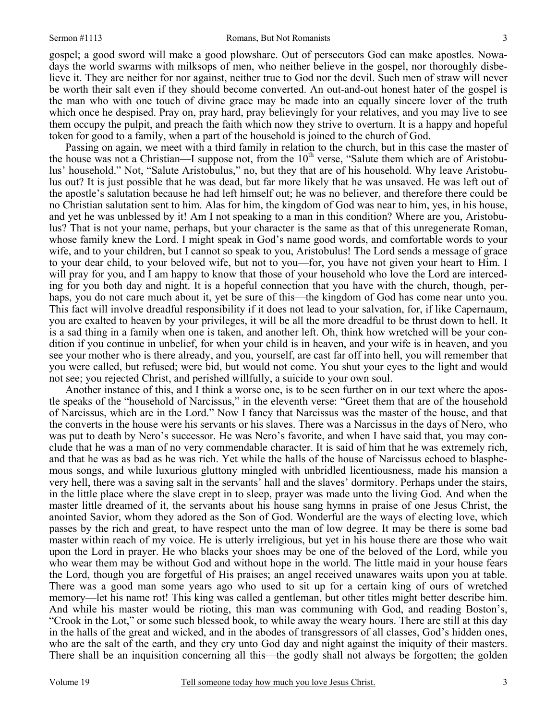gospel; a good sword will make a good plowshare. Out of persecutors God can make apostles. Nowadays the world swarms with milksops of men, who neither believe in the gospel, nor thoroughly disbelieve it. They are neither for nor against, neither true to God nor the devil. Such men of straw will never be worth their salt even if they should become converted. An out-and-out honest hater of the gospel is the man who with one touch of divine grace may be made into an equally sincere lover of the truth which once he despised. Pray on, pray hard, pray believingly for your relatives, and you may live to see them occupy the pulpit, and preach the faith which now they strive to overturn. It is a happy and hopeful token for good to a family, when a part of the household is joined to the church of God.

Passing on again, we meet with a third family in relation to the church, but in this case the master of the house was not a Christian—I suppose not, from the  $10<sup>th</sup>$  verse, "Salute them which are of Aristobulus' household." Not, "Salute Aristobulus," no, but they that are of his household. Why leave Aristobulus out? It is just possible that he was dead, but far more likely that he was unsaved. He was left out of the apostle's salutation because he had left himself out; he was no believer, and therefore there could be no Christian salutation sent to him. Alas for him, the kingdom of God was near to him, yes, in his house, and yet he was unblessed by it! Am I not speaking to a man in this condition? Where are you, Aristobulus? That is not your name, perhaps, but your character is the same as that of this unregenerate Roman, whose family knew the Lord. I might speak in God's name good words, and comfortable words to your wife, and to your children, but I cannot so speak to you, Aristobulus! The Lord sends a message of grace to your dear child, to your beloved wife, but not to you—for, you have not given your heart to Him. I will pray for you, and I am happy to know that those of your household who love the Lord are interceding for you both day and night. It is a hopeful connection that you have with the church, though, perhaps, you do not care much about it, yet be sure of this—the kingdom of God has come near unto you. This fact will involve dreadful responsibility if it does not lead to your salvation, for, if like Capernaum, you are exalted to heaven by your privileges, it will be all the more dreadful to be thrust down to hell. It is a sad thing in a family when one is taken, and another left. Oh, think how wretched will be your condition if you continue in unbelief, for when your child is in heaven, and your wife is in heaven, and you see your mother who is there already, and you, yourself, are cast far off into hell, you will remember that you were called, but refused; were bid, but would not come. You shut your eyes to the light and would not see; you rejected Christ, and perished willfully, a suicide to your own soul.

Another instance of this, and I think a worse one, is to be seen further on in our text where the apostle speaks of the "household of Narcissus," in the eleventh verse: "Greet them that are of the household of Narcissus, which are in the Lord." Now I fancy that Narcissus was the master of the house, and that the converts in the house were his servants or his slaves. There was a Narcissus in the days of Nero, who was put to death by Nero's successor. He was Nero's favorite, and when I have said that, you may conclude that he was a man of no very commendable character. It is said of him that he was extremely rich, and that he was as bad as he was rich. Yet while the halls of the house of Narcissus echoed to blasphemous songs, and while luxurious gluttony mingled with unbridled licentiousness, made his mansion a very hell, there was a saving salt in the servants' hall and the slaves' dormitory. Perhaps under the stairs, in the little place where the slave crept in to sleep, prayer was made unto the living God. And when the master little dreamed of it, the servants about his house sang hymns in praise of one Jesus Christ, the anointed Savior, whom they adored as the Son of God. Wonderful are the ways of electing love, which passes by the rich and great, to have respect unto the man of low degree. It may be there is some bad master within reach of my voice. He is utterly irreligious, but yet in his house there are those who wait upon the Lord in prayer. He who blacks your shoes may be one of the beloved of the Lord, while you who wear them may be without God and without hope in the world. The little maid in your house fears the Lord, though you are forgetful of His praises; an angel received unawares waits upon you at table. There was a good man some years ago who used to sit up for a certain king of ours of wretched memory—let his name rot! This king was called a gentleman, but other titles might better describe him. And while his master would be rioting, this man was communing with God, and reading Boston's, "Crook in the Lot," or some such blessed book, to while away the weary hours. There are still at this day in the halls of the great and wicked, and in the abodes of transgressors of all classes, God's hidden ones, who are the salt of the earth, and they cry unto God day and night against the iniquity of their masters. There shall be an inquisition concerning all this—the godly shall not always be forgotten; the golden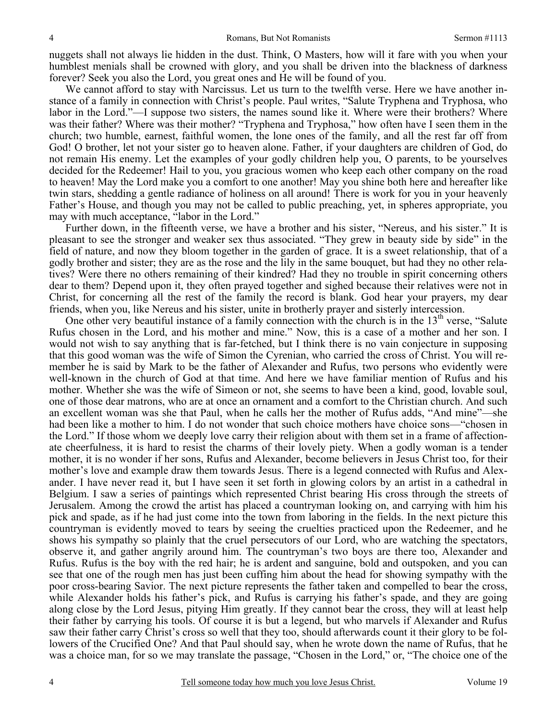nuggets shall not always lie hidden in the dust. Think, O Masters, how will it fare with you when your humblest menials shall be crowned with glory, and you shall be driven into the blackness of darkness forever? Seek you also the Lord, you great ones and He will be found of you.

We cannot afford to stay with Narcissus. Let us turn to the twelfth verse. Here we have another instance of a family in connection with Christ's people. Paul writes, "Salute Tryphena and Tryphosa, who labor in the Lord."—I suppose two sisters, the names sound like it. Where were their brothers? Where was their father? Where was their mother? "Tryphena and Tryphosa," how often have I seen them in the church; two humble, earnest, faithful women, the lone ones of the family, and all the rest far off from God! O brother, let not your sister go to heaven alone. Father, if your daughters are children of God, do not remain His enemy. Let the examples of your godly children help you, O parents, to be yourselves decided for the Redeemer! Hail to you, you gracious women who keep each other company on the road to heaven! May the Lord make you a comfort to one another! May you shine both here and hereafter like twin stars, shedding a gentle radiance of holiness on all around! There is work for you in your heavenly Father's House, and though you may not be called to public preaching, yet, in spheres appropriate, you may with much acceptance, "labor in the Lord."

Further down, in the fifteenth verse, we have a brother and his sister, "Nereus, and his sister." It is pleasant to see the stronger and weaker sex thus associated. "They grew in beauty side by side" in the field of nature, and now they bloom together in the garden of grace. It is a sweet relationship, that of a godly brother and sister; they are as the rose and the lily in the same bouquet, but had they no other relatives? Were there no others remaining of their kindred? Had they no trouble in spirit concerning others dear to them? Depend upon it, they often prayed together and sighed because their relatives were not in Christ, for concerning all the rest of the family the record is blank. God hear your prayers, my dear friends, when you, like Nereus and his sister, unite in brotherly prayer and sisterly intercession.

One other very beautiful instance of a family connection with the church is in the  $13<sup>th</sup>$  verse, "Salute Rufus chosen in the Lord, and his mother and mine." Now, this is a case of a mother and her son. I would not wish to say anything that is far-fetched, but I think there is no vain conjecture in supposing that this good woman was the wife of Simon the Cyrenian, who carried the cross of Christ. You will remember he is said by Mark to be the father of Alexander and Rufus, two persons who evidently were well-known in the church of God at that time. And here we have familiar mention of Rufus and his mother. Whether she was the wife of Simeon or not, she seems to have been a kind, good, lovable soul, one of those dear matrons, who are at once an ornament and a comfort to the Christian church. And such an excellent woman was she that Paul, when he calls her the mother of Rufus adds, "And mine"—she had been like a mother to him. I do not wonder that such choice mothers have choice sons—"chosen in the Lord." If those whom we deeply love carry their religion about with them set in a frame of affectionate cheerfulness, it is hard to resist the charms of their lovely piety. When a godly woman is a tender mother, it is no wonder if her sons, Rufus and Alexander, become believers in Jesus Christ too, for their mother's love and example draw them towards Jesus. There is a legend connected with Rufus and Alexander. I have never read it, but I have seen it set forth in glowing colors by an artist in a cathedral in Belgium. I saw a series of paintings which represented Christ bearing His cross through the streets of Jerusalem. Among the crowd the artist has placed a countryman looking on, and carrying with him his pick and spade, as if he had just come into the town from laboring in the fields. In the next picture this countryman is evidently moved to tears by seeing the cruelties practiced upon the Redeemer, and he shows his sympathy so plainly that the cruel persecutors of our Lord, who are watching the spectators, observe it, and gather angrily around him. The countryman's two boys are there too, Alexander and Rufus. Rufus is the boy with the red hair; he is ardent and sanguine, bold and outspoken, and you can see that one of the rough men has just been cuffing him about the head for showing sympathy with the poor cross-bearing Savior. The next picture represents the father taken and compelled to bear the cross, while Alexander holds his father's pick, and Rufus is carrying his father's spade, and they are going along close by the Lord Jesus, pitying Him greatly. If they cannot bear the cross, they will at least help their father by carrying his tools. Of course it is but a legend, but who marvels if Alexander and Rufus saw their father carry Christ's cross so well that they too, should afterwards count it their glory to be followers of the Crucified One? And that Paul should say, when he wrote down the name of Rufus, that he was a choice man, for so we may translate the passage, "Chosen in the Lord," or, "The choice one of the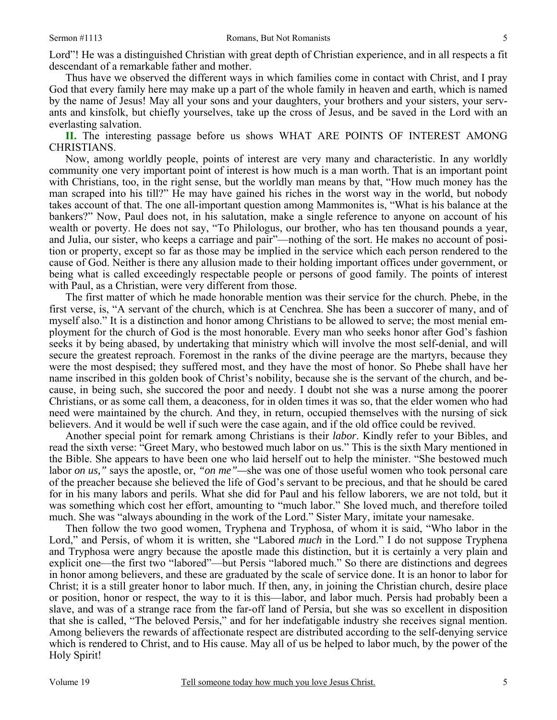Lord"! He was a distinguished Christian with great depth of Christian experience, and in all respects a fit descendant of a remarkable father and mother.

Thus have we observed the different ways in which families come in contact with Christ, and I pray God that every family here may make up a part of the whole family in heaven and earth, which is named by the name of Jesus! May all your sons and your daughters, your brothers and your sisters, your servants and kinsfolk, but chiefly yourselves, take up the cross of Jesus, and be saved in the Lord with an everlasting salvation.

**II.** The interesting passage before us shows WHAT ARE POINTS OF INTEREST AMONG CHRISTIANS.

Now, among worldly people, points of interest are very many and characteristic. In any worldly community one very important point of interest is how much is a man worth. That is an important point with Christians, too, in the right sense, but the worldly man means by that, "How much money has the man scraped into his till?" He may have gained his riches in the worst way in the world, but nobody takes account of that. The one all-important question among Mammonites is, "What is his balance at the bankers?" Now, Paul does not, in his salutation, make a single reference to anyone on account of his wealth or poverty. He does not say, "To Philologus, our brother, who has ten thousand pounds a year, and Julia, our sister, who keeps a carriage and pair"—nothing of the sort. He makes no account of position or property, except so far as those may be implied in the service which each person rendered to the cause of God. Neither is there any allusion made to their holding important offices under government, or being what is called exceedingly respectable people or persons of good family. The points of interest with Paul, as a Christian, were very different from those.

The first matter of which he made honorable mention was their service for the church. Phebe, in the first verse, is, "A servant of the church, which is at Cenchrea. She has been a succorer of many, and of myself also." It is a distinction and honor among Christians to be allowed to serve; the most menial employment for the church of God is the most honorable. Every man who seeks honor after God's fashion seeks it by being abased, by undertaking that ministry which will involve the most self-denial, and will secure the greatest reproach. Foremost in the ranks of the divine peerage are the martyrs, because they were the most despised; they suffered most, and they have the most of honor. So Phebe shall have her name inscribed in this golden book of Christ's nobility, because she is the servant of the church, and because, in being such, she succored the poor and needy. I doubt not she was a nurse among the poorer Christians, or as some call them, a deaconess, for in olden times it was so, that the elder women who had need were maintained by the church. And they, in return, occupied themselves with the nursing of sick believers. And it would be well if such were the case again, and if the old office could be revived.

Another special point for remark among Christians is their *labor*. Kindly refer to your Bibles, and read the sixth verse: "Greet Mary, who bestowed much labor on us." This is the sixth Mary mentioned in the Bible. She appears to have been one who laid herself out to help the minister. "She bestowed much labor *on us,"* says the apostle, or, *"on me"—*she was one of those useful women who took personal care of the preacher because she believed the life of God's servant to be precious, and that he should be cared for in his many labors and perils. What she did for Paul and his fellow laborers, we are not told, but it was something which cost her effort, amounting to "much labor." She loved much, and therefore toiled much. She was "always abounding in the work of the Lord." Sister Mary, imitate your namesake.

Then follow the two good women, Tryphena and Tryphosa, of whom it is said, "Who labor in the Lord," and Persis, of whom it is written, she "Labored *much* in the Lord." I do not suppose Tryphena and Tryphosa were angry because the apostle made this distinction, but it is certainly a very plain and explicit one—the first two "labored"—but Persis "labored much." So there are distinctions and degrees in honor among believers, and these are graduated by the scale of service done. It is an honor to labor for Christ; it is a still greater honor to labor much. If then, any, in joining the Christian church, desire place or position, honor or respect, the way to it is this—labor, and labor much. Persis had probably been a slave, and was of a strange race from the far-off land of Persia, but she was so excellent in disposition that she is called, "The beloved Persis," and for her indefatigable industry she receives signal mention. Among believers the rewards of affectionate respect are distributed according to the self-denying service which is rendered to Christ, and to His cause. May all of us be helped to labor much, by the power of the Holy Spirit!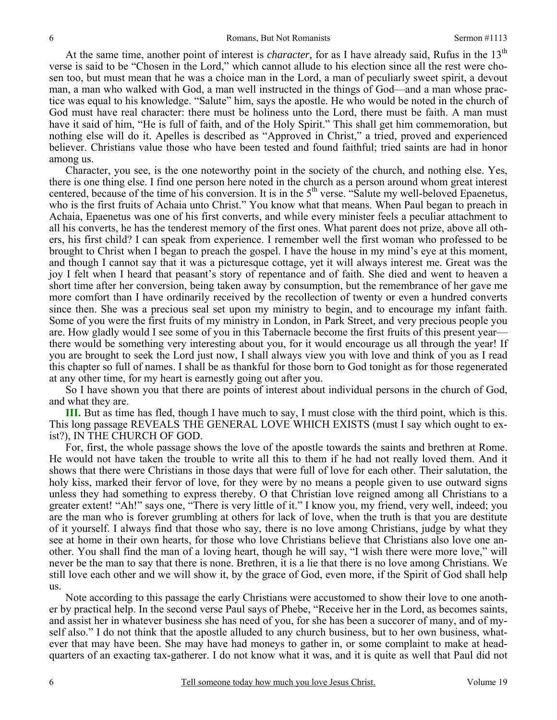At the same time, another point of interest is *character*, for as I have already said, Rufus in the 13<sup>th</sup> verse is said to be "Chosen in the Lord," which cannot allude to his election since all the rest were chosen too, but must mean that he was a choice man in the Lord, a man of peculiarly sweet spirit, a devout man, a man who walked with God, a man well instructed in the things of God—and a man whose practice was equal to his knowledge. "Salute" him, says the apostle. He who would be noted in the church of God must have real character: there must be holiness unto the Lord, there must be faith. A man must have it said of him, "He is full of faith, and of the Holy Spirit." This shall get him commemoration, but nothing else will do it. Apelles is described as "Approved in Christ," a tried, proved and experienced believer. Christians value those who have been tested and found faithful; tried saints are had in honor among us.

Character, you see, is the one noteworthy point in the society of the church, and nothing else. Yes, there is one thing else. I find one person here noted in the church as a person around whom great interest centered, because of the time of his conversion. It is in the 5<sup>th</sup> verse. "Salute my well-beloved Epaenetus, who is the first fruits of Achaia unto Christ." You know what that means. When Paul began to preach in Achaia, Epaenetus was one of his first converts, and while every minister feels a peculiar attachment to all his converts, he has the tenderest memory of the first ones. What parent does not prize, above all others, his first child? I can speak from experience. I remember well the first woman who professed to be brought to Christ when I began to preach the gospel. I have the house in my mind's eye at this moment, and though I cannot say that it was a picturesque cottage, yet it will always interest me. Great was the joy I felt when I heard that peasant's story of repentance and of faith. She died and went to heaven a short time after her conversion, being taken away by consumption, but the remembrance of her gave me more comfort than I have ordinarily received by the recollection of twenty or even a hundred converts since then. She was a precious seal set upon my ministry to begin, and to encourage my infant faith. Some of you were the first fruits of my ministry in London, in Park Street, and very precious people you are. How gladly would I see some of you in this Tabernacle become the first fruits of this present year there would be something very interesting about you, for it would encourage us all through the year! If you are brought to seek the Lord just now, I shall always view you with love and think of you as I read this chapter so full of names. I shall be as thankful for those born to God tonight as for those regenerated at any other time, for my heart is earnestly going out after you.

So I have shown you that there are points of interest about individual persons in the church of God, and what they are.

**III.** But as time has fled, though I have much to say, I must close with the third point, which is this. This long passage REVEALS THE GENERAL LOVE WHICH EXISTS (must I say which ought to exist?), IN THE CHURCH OF GOD.

For, first, the whole passage shows the love of the apostle towards the saints and brethren at Rome. He would not have taken the trouble to write all this to them if he had not really loved them. And it shows that there were Christians in those days that were full of love for each other. Their salutation, the holy kiss, marked their fervor of love, for they were by no means a people given to use outward signs unless they had something to express thereby. O that Christian love reigned among all Christians to a greater extent! "Ah!" says one, "There is very little of it." I know you, my friend, very well, indeed; you are the man who is forever grumbling at others for lack of love, when the truth is that you are destitute of it yourself. I always find that those who say, there is no love among Christians, judge by what they see at home in their own hearts, for those who love Christians believe that Christians also love one another. You shall find the man of a loving heart, though he will say, "I wish there were more love," will never be the man to say that there is none. Brethren, it is a lie that there is no love among Christians. We still love each other and we will show it, by the grace of God, even more, if the Spirit of God shall help us.

Note according to this passage the early Christians were accustomed to show their love to one another by practical help. In the second verse Paul says of Phebe, "Receive her in the Lord, as becomes saints, and assist her in whatever business she has need of you, for she has been a succorer of many, and of myself also." I do not think that the apostle alluded to any church business, but to her own business, whatever that may have been. She may have had moneys to gather in, or some complaint to make at headquarters of an exacting tax-gatherer. I do not know what it was, and it is quite as well that Paul did not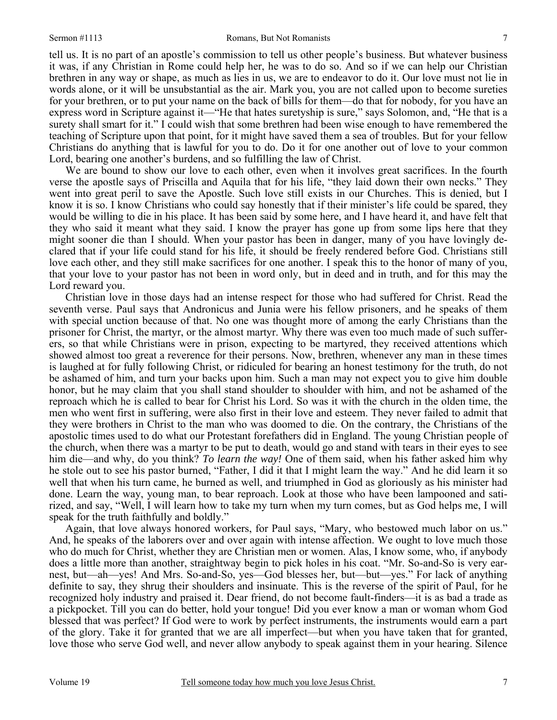tell us. It is no part of an apostle's commission to tell us other people's business. But whatever business it was, if any Christian in Rome could help her, he was to do so. And so if we can help our Christian brethren in any way or shape, as much as lies in us, we are to endeavor to do it. Our love must not lie in words alone, or it will be unsubstantial as the air. Mark you, you are not called upon to become sureties for your brethren, or to put your name on the back of bills for them—do that for nobody, for you have an express word in Scripture against it—"He that hates suretyship is sure," says Solomon, and, "He that is a surety shall smart for it." I could wish that some brethren had been wise enough to have remembered the teaching of Scripture upon that point, for it might have saved them a sea of troubles. But for your fellow Christians do anything that is lawful for you to do. Do it for one another out of love to your common Lord, bearing one another's burdens, and so fulfilling the law of Christ.

We are bound to show our love to each other, even when it involves great sacrifices. In the fourth verse the apostle says of Priscilla and Aquila that for his life, "they laid down their own necks." They went into great peril to save the Apostle. Such love still exists in our Churches. This is denied, but I know it is so. I know Christians who could say honestly that if their minister's life could be spared, they would be willing to die in his place. It has been said by some here, and I have heard it, and have felt that they who said it meant what they said. I know the prayer has gone up from some lips here that they might sooner die than I should. When your pastor has been in danger, many of you have lovingly declared that if your life could stand for his life, it should be freely rendered before God. Christians still love each other, and they still make sacrifices for one another. I speak this to the honor of many of you, that your love to your pastor has not been in word only, but in deed and in truth, and for this may the Lord reward you.

Christian love in those days had an intense respect for those who had suffered for Christ. Read the seventh verse. Paul says that Andronicus and Junia were his fellow prisoners, and he speaks of them with special unction because of that. No one was thought more of among the early Christians than the prisoner for Christ, the martyr, or the almost martyr. Why there was even too much made of such sufferers, so that while Christians were in prison, expecting to be martyred, they received attentions which showed almost too great a reverence for their persons. Now, brethren, whenever any man in these times is laughed at for fully following Christ, or ridiculed for bearing an honest testimony for the truth, do not be ashamed of him, and turn your backs upon him. Such a man may not expect you to give him double honor, but he may claim that you shall stand shoulder to shoulder with him, and not be ashamed of the reproach which he is called to bear for Christ his Lord. So was it with the church in the olden time, the men who went first in suffering, were also first in their love and esteem. They never failed to admit that they were brothers in Christ to the man who was doomed to die. On the contrary, the Christians of the apostolic times used to do what our Protestant forefathers did in England. The young Christian people of the church, when there was a martyr to be put to death, would go and stand with tears in their eyes to see him die—and why, do you think? *To learn the way!* One of them said, when his father asked him why he stole out to see his pastor burned, "Father, I did it that I might learn the way." And he did learn it so well that when his turn came, he burned as well, and triumphed in God as gloriously as his minister had done. Learn the way, young man, to bear reproach. Look at those who have been lampooned and satirized, and say, "Well, I will learn how to take my turn when my turn comes, but as God helps me, I will speak for the truth faithfully and boldly."

Again, that love always honored workers, for Paul says, "Mary, who bestowed much labor on us." And, he speaks of the laborers over and over again with intense affection. We ought to love much those who do much for Christ, whether they are Christian men or women. Alas, I know some, who, if anybody does a little more than another, straightway begin to pick holes in his coat. "Mr. So-and-So is very earnest, but—ah—yes! And Mrs. So-and-So, yes—God blesses her, but—but—yes." For lack of anything definite to say, they shrug their shoulders and insinuate. This is the reverse of the spirit of Paul, for he recognized holy industry and praised it. Dear friend, do not become fault-finders—it is as bad a trade as a pickpocket. Till you can do better, hold your tongue! Did you ever know a man or woman whom God blessed that was perfect? If God were to work by perfect instruments, the instruments would earn a part of the glory. Take it for granted that we are all imperfect—but when you have taken that for granted, love those who serve God well, and never allow anybody to speak against them in your hearing. Silence